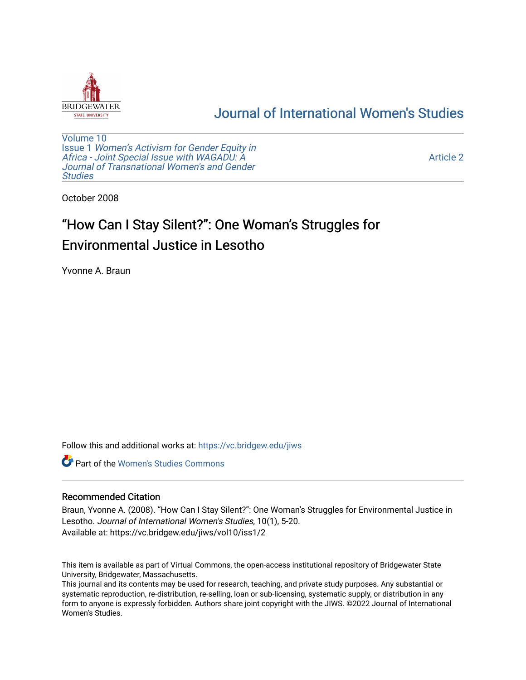

# [Journal of International Women's Studies](https://vc.bridgew.edu/jiws)

[Volume 10](https://vc.bridgew.edu/jiws/vol10) Issue 1 [Women's Activism for Gender Equity in](https://vc.bridgew.edu/jiws/vol10/iss1)  [Africa - Joint Special Issue with WAGADU: A](https://vc.bridgew.edu/jiws/vol10/iss1)  [Journal of Transnational Women's and Gender](https://vc.bridgew.edu/jiws/vol10/iss1)  **Studies** 

[Article 2](https://vc.bridgew.edu/jiws/vol10/iss1/2) 

October 2008

# "How Can I Stay Silent?": One Woman's Struggles for Environmental Justice in Lesotho

Yvonne A. Braun

Follow this and additional works at: [https://vc.bridgew.edu/jiws](https://vc.bridgew.edu/jiws?utm_source=vc.bridgew.edu%2Fjiws%2Fvol10%2Fiss1%2F2&utm_medium=PDF&utm_campaign=PDFCoverPages)

**C** Part of the Women's Studies Commons

#### Recommended Citation

Braun, Yvonne A. (2008). "How Can I Stay Silent?": One Woman's Struggles for Environmental Justice in Lesotho. Journal of International Women's Studies, 10(1), 5-20. Available at: https://vc.bridgew.edu/jiws/vol10/iss1/2

This item is available as part of Virtual Commons, the open-access institutional repository of Bridgewater State University, Bridgewater, Massachusetts.

This journal and its contents may be used for research, teaching, and private study purposes. Any substantial or systematic reproduction, re-distribution, re-selling, loan or sub-licensing, systematic supply, or distribution in any form to anyone is expressly forbidden. Authors share joint copyright with the JIWS. ©2022 Journal of International Women's Studies.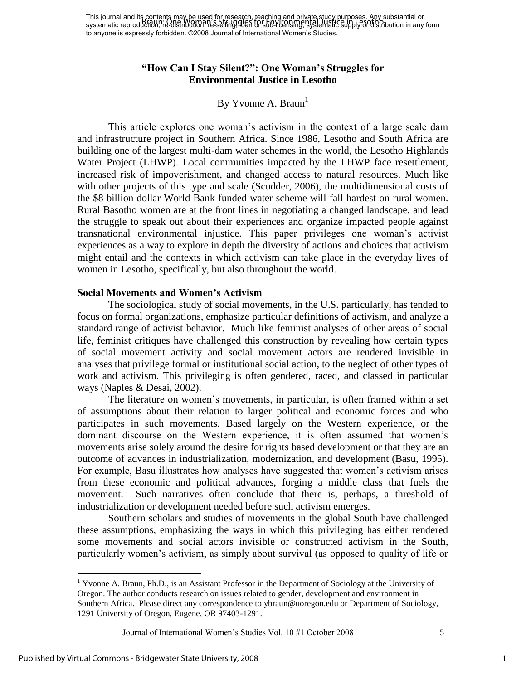# **"How Can I Stay Silent?": One Woman's Struggles for Environmental Justice in Lesotho**

## By Yvonne A. Braun $<sup>1</sup>$ </sup>

This article explores one woman"s activism in the context of a large scale dam and infrastructure project in Southern Africa. Since 1986, Lesotho and South Africa are building one of the largest multi-dam water schemes in the world, the Lesotho Highlands Water Project (LHWP). Local communities impacted by the LHWP face resettlement, increased risk of impoverishment, and changed access to natural resources. Much like with other projects of this type and scale (Scudder, 2006), the multidimensional costs of the \$8 billion dollar World Bank funded water scheme will fall hardest on rural women. Rural Basotho women are at the front lines in negotiating a changed landscape, and lead the struggle to speak out about their experiences and organize impacted people against transnational environmental injustice. This paper privileges one woman"s activist experiences as a way to explore in depth the diversity of actions and choices that activism might entail and the contexts in which activism can take place in the everyday lives of women in Lesotho, specifically, but also throughout the world.

#### **Social Movements and Women's Activism**

The sociological study of social movements, in the U.S. particularly, has tended to focus on formal organizations, emphasize particular definitions of activism, and analyze a standard range of activist behavior. Much like feminist analyses of other areas of social life, feminist critiques have challenged this construction by revealing how certain types of social movement activity and social movement actors are rendered invisible in analyses that privilege formal or institutional social action, to the neglect of other types of work and activism. This privileging is often gendered, raced, and classed in particular ways (Naples & Desai, 2002).

The literature on women"s movements, in particular, is often framed within a set of assumptions about their relation to larger political and economic forces and who participates in such movements. Based largely on the Western experience, or the dominant discourse on the Western experience, it is often assumed that women"s movements arise solely around the desire for rights based development or that they are an outcome of advances in industrialization, modernization, and development (Basu, 1995). For example, Basu illustrates how analyses have suggested that women"s activism arises from these economic and political advances, forging a middle class that fuels the movement. Such narratives often conclude that there is, perhaps, a threshold of industrialization or development needed before such activism emerges.

Southern scholars and studies of movements in the global South have challenged these assumptions, emphasizing the ways in which this privileging has either rendered some movements and social actors invisible or constructed activism in the South, particularly women"s activism, as simply about survival (as opposed to quality of life or

 $\overline{a}$ 

1

<sup>&</sup>lt;sup>1</sup> Yvonne A. Braun, Ph.D., is an Assistant Professor in the Department of Sociology at the University of Oregon. The author conducts research on issues related to gender, development and environment in Southern Africa. Please direct any correspondence to ybraun@uoregon.edu or Department of Sociology, 1291 University of Oregon, Eugene, OR 97403-1291.

Journal of International Women"s Studies Vol. 10 #1 October 2008 5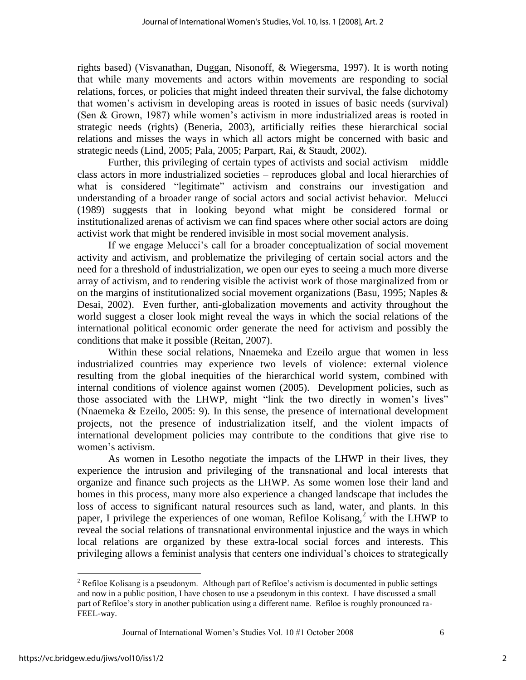rights based) (Visvanathan, Duggan, Nisonoff, & Wiegersma, 1997). It is worth noting that while many movements and actors within movements are responding to social relations, forces, or policies that might indeed threaten their survival, the false dichotomy that women"s activism in developing areas is rooted in issues of basic needs (survival) (Sen & Grown, 1987) while women"s activism in more industrialized areas is rooted in strategic needs (rights) (Beneria, 2003), artificially reifies these hierarchical social relations and misses the ways in which all actors might be concerned with basic and strategic needs (Lind, 2005; Pala, 2005; Parpart, Rai, & Staudt, 2002).

Further, this privileging of certain types of activists and social activism – middle class actors in more industrialized societies – reproduces global and local hierarchies of what is considered "legitimate" activism and constrains our investigation and understanding of a broader range of social actors and social activist behavior. Melucci (1989) suggests that in looking beyond what might be considered formal or institutionalized arenas of activism we can find spaces where other social actors are doing activist work that might be rendered invisible in most social movement analysis.

If we engage Melucci"s call for a broader conceptualization of social movement activity and activism, and problematize the privileging of certain social actors and the need for a threshold of industrialization, we open our eyes to seeing a much more diverse array of activism, and to rendering visible the activist work of those marginalized from or on the margins of institutionalized social movement organizations (Basu, 1995; Naples & Desai, 2002). Even further, anti-globalization movements and activity throughout the world suggest a closer look might reveal the ways in which the social relations of the international political economic order generate the need for activism and possibly the conditions that make it possible (Reitan, 2007).

Within these social relations, Nnaemeka and Ezeilo argue that women in less industrialized countries may experience two levels of violence: external violence resulting from the global inequities of the hierarchical world system, combined with internal conditions of violence against women (2005). Development policies, such as those associated with the LHWP, might "link the two directly in women"s lives" (Nnaemeka & Ezeilo, 2005: 9). In this sense, the presence of international development projects, not the presence of industrialization itself, and the violent impacts of international development policies may contribute to the conditions that give rise to women's activism.

As women in Lesotho negotiate the impacts of the LHWP in their lives, they experience the intrusion and privileging of the transnational and local interests that organize and finance such projects as the LHWP. As some women lose their land and homes in this process, many more also experience a changed landscape that includes the loss of access to significant natural resources such as land, water, and plants. In this paper, I privilege the experiences of one woman, Refiloe Kolisang, $\lambda^2$  with the LHWP to reveal the social relations of transnational environmental injustice and the ways in which local relations are organized by these extra-local social forces and interests. This privileging allows a feminist analysis that centers one individual"s choices to strategically

Journal of International Women"s Studies Vol. 10 #1 October 2008 6

 $\overline{a}$ 

2

 $2^2$  Refiloe Kolisang is a pseudonym. Although part of Refiloe's activism is documented in public settings and now in a public position, I have chosen to use a pseudonym in this context. I have discussed a small part of Refiloe"s story in another publication using a different name. Refiloe is roughly pronounced ra-FEEL-way.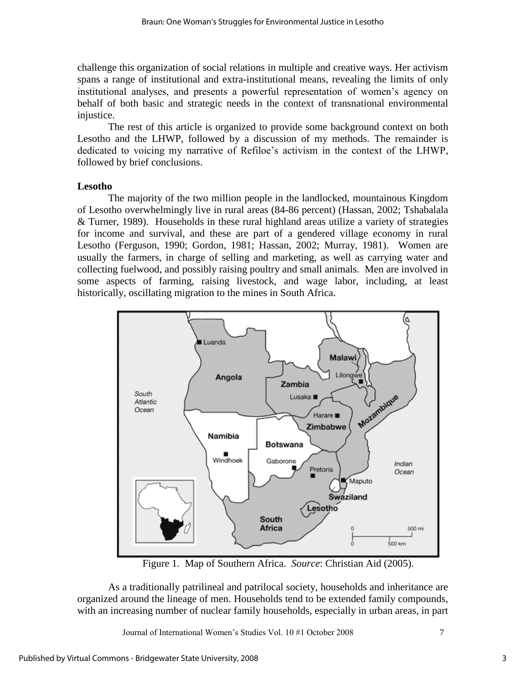challenge this organization of social relations in multiple and creative ways. Her activism spans a range of institutional and extra-institutional means, revealing the limits of only institutional analyses, and presents a powerful representation of women's agency on behalf of both basic and strategic needs in the context of transnational environmental injustice.

The rest of this article is organized to provide some background context on both Lesotho and the LHWP, followed by a discussion of my methods. The remainder is dedicated to voicing my narrative of Refiloe's activism in the context of the LHWP, followed by brief conclusions.

## **Lesotho**

The majority of the two million people in the landlocked, mountainous Kingdom of Lesotho overwhelmingly live in rural areas (84-86 percent) (Hassan, 2002; Tshabalala & Turner, 1989). Households in these rural highland areas utilize a variety of strategies for income and survival, and these are part of a gendered village economy in rural Lesotho (Ferguson, 1990; Gordon, 1981; Hassan, 2002; Murray, 1981). Women are usually the farmers, in charge of selling and marketing, as well as carrying water and collecting fuelwood, and possibly raising poultry and small animals. Men are involved in some aspects of farming, raising livestock, and wage labor, including, at least historically, oscillating migration to the mines in South Africa.



Figure 1. Map of Southern Africa. *Source*: Christian Aid (2005).

As a traditionally patrilineal and patrilocal society, households and inheritance are organized around the lineage of men. Households tend to be extended family compounds, with an increasing number of nuclear family households, especially in urban areas, in part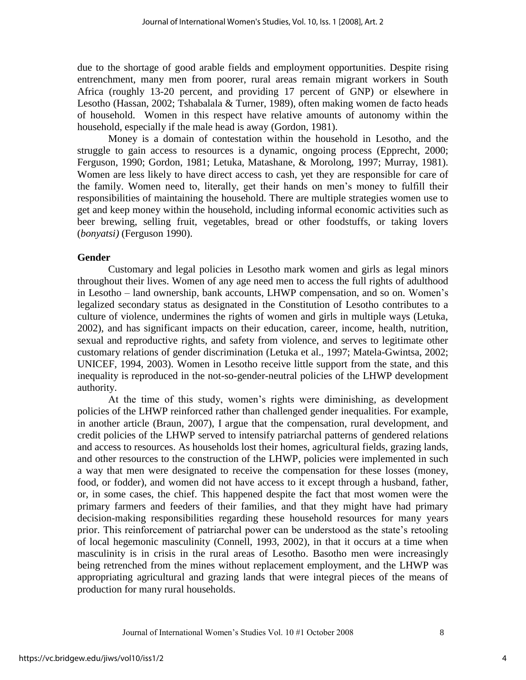due to the shortage of good arable fields and employment opportunities. Despite rising entrenchment, many men from poorer, rural areas remain migrant workers in South Africa (roughly 13-20 percent, and providing 17 percent of GNP) or elsewhere in Lesotho (Hassan, 2002; Tshabalala & Turner, 1989), often making women de facto heads of household. Women in this respect have relative amounts of autonomy within the household, especially if the male head is away (Gordon, 1981).

Money is a domain of contestation within the household in Lesotho, and the struggle to gain access to resources is a dynamic, ongoing process (Epprecht, 2000; Ferguson, 1990; Gordon, 1981; Letuka, Matashane, & Morolong, 1997; Murray, 1981). Women are less likely to have direct access to cash, yet they are responsible for care of the family. Women need to, literally, get their hands on men"s money to fulfill their responsibilities of maintaining the household. There are multiple strategies women use to get and keep money within the household, including informal economic activities such as beer brewing, selling fruit, vegetables, bread or other foodstuffs, or taking lovers (*bonyatsi)* (Ferguson 1990).

#### **Gender**

Customary and legal policies in Lesotho mark women and girls as legal minors throughout their lives. Women of any age need men to access the full rights of adulthood in Lesotho – land ownership, bank accounts, LHWP compensation, and so on. Women"s legalized secondary status as designated in the Constitution of Lesotho contributes to a culture of violence, undermines the rights of women and girls in multiple ways (Letuka, 2002), and has significant impacts on their education, career, income, health, nutrition, sexual and reproductive rights, and safety from violence, and serves to legitimate other customary relations of gender discrimination (Letuka et al., 1997; Matela-Gwintsa, 2002; UNICEF, 1994, 2003). Women in Lesotho receive little support from the state, and this inequality is reproduced in the not-so-gender-neutral policies of the LHWP development authority.

At the time of this study, women"s rights were diminishing, as development policies of the LHWP reinforced rather than challenged gender inequalities. For example, in another article (Braun, 2007), I argue that the compensation, rural development, and credit policies of the LHWP served to intensify patriarchal patterns of gendered relations and access to resources. As households lost their homes, agricultural fields, grazing lands, and other resources to the construction of the LHWP, policies were implemented in such a way that men were designated to receive the compensation for these losses (money, food, or fodder), and women did not have access to it except through a husband, father, or, in some cases, the chief. This happened despite the fact that most women were the primary farmers and feeders of their families, and that they might have had primary decision-making responsibilities regarding these household resources for many years prior. This reinforcement of patriarchal power can be understood as the state"s retooling of local hegemonic masculinity (Connell, 1993, 2002), in that it occurs at a time when masculinity is in crisis in the rural areas of Lesotho. Basotho men were increasingly being retrenched from the mines without replacement employment, and the LHWP was appropriating agricultural and grazing lands that were integral pieces of the means of production for many rural households.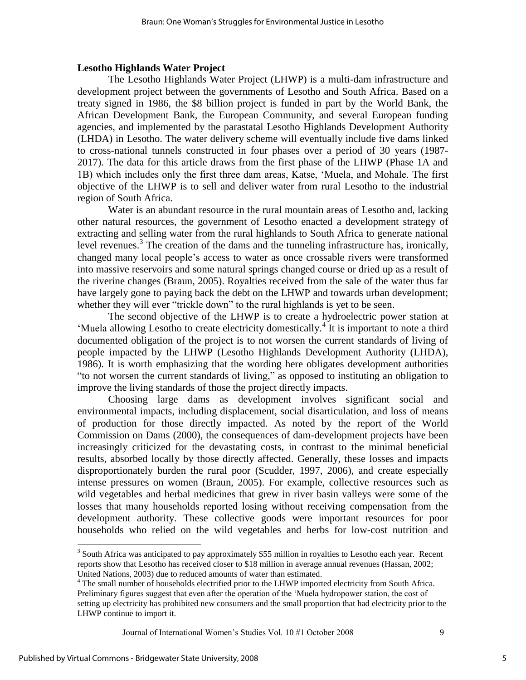#### **Lesotho Highlands Water Project**

The Lesotho Highlands Water Project (LHWP) is a multi-dam infrastructure and development project between the governments of Lesotho and South Africa. Based on a treaty signed in 1986, the \$8 billion project is funded in part by the World Bank, the African Development Bank, the European Community, and several European funding agencies, and implemented by the parastatal Lesotho Highlands Development Authority (LHDA) in Lesotho. The water delivery scheme will eventually include five dams linked to cross-national tunnels constructed in four phases over a period of 30 years (1987- 2017). The data for this article draws from the first phase of the LHWP (Phase 1A and 1B) which includes only the first three dam areas, Katse, "Muela, and Mohale. The first objective of the LHWP is to sell and deliver water from rural Lesotho to the industrial region of South Africa.

Water is an abundant resource in the rural mountain areas of Lesotho and, lacking other natural resources, the government of Lesotho enacted a development strategy of extracting and selling water from the rural highlands to South Africa to generate national level revenues.<sup>3</sup> The creation of the dams and the tunneling infrastructure has, ironically, changed many local people"s access to water as once crossable rivers were transformed into massive reservoirs and some natural springs changed course or dried up as a result of the riverine changes (Braun, 2005). Royalties received from the sale of the water thus far have largely gone to paying back the debt on the LHWP and towards urban development; whether they will ever "trickle down" to the rural highlands is yet to be seen.

The second objective of the LHWP is to create a hydroelectric power station at 'Muela allowing Lesotho to create electricity domestically.<sup>4</sup> It is important to note a third documented obligation of the project is to not worsen the current standards of living of people impacted by the LHWP (Lesotho Highlands Development Authority (LHDA), 1986). It is worth emphasizing that the wording here obligates development authorities "to not worsen the current standards of living," as opposed to instituting an obligation to improve the living standards of those the project directly impacts.

Choosing large dams as development involves significant social and environmental impacts, including displacement, social disarticulation, and loss of means of production for those directly impacted. As noted by the report of the World Commission on Dams (2000), the consequences of dam-development projects have been increasingly criticized for the devastating costs, in contrast to the minimal beneficial results, absorbed locally by those directly affected. Generally, these losses and impacts disproportionately burden the rural poor (Scudder, 1997, 2006), and create especially intense pressures on women (Braun, 2005). For example, collective resources such as wild vegetables and herbal medicines that grew in river basin valleys were some of the losses that many households reported losing without receiving compensation from the development authority. These collective goods were important resources for poor households who relied on the wild vegetables and herbs for low-cost nutrition and

Journal of International Women"s Studies Vol. 10 #1 October 2008 9

 $\overline{a}$ 

 $3$  South Africa was anticipated to pay approximately \$55 million in royalties to Lesotho each year. Recent reports show that Lesotho has received closer to \$18 million in average annual revenues (Hassan, 2002; United Nations, 2003) due to reduced amounts of water than estimated.

<sup>&</sup>lt;sup>4</sup> The small number of households electrified prior to the LHWP imported electricity from South Africa.

Preliminary figures suggest that even after the operation of the "Muela hydropower station, the cost of setting up electricity has prohibited new consumers and the small proportion that had electricity prior to the LHWP continue to import it.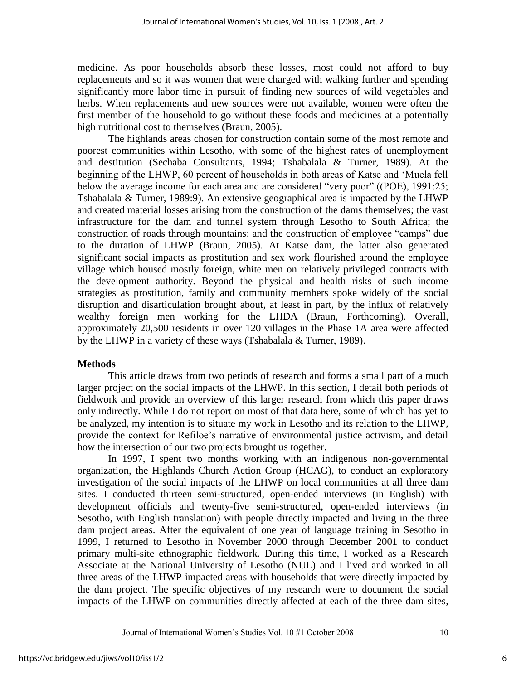medicine. As poor households absorb these losses, most could not afford to buy replacements and so it was women that were charged with walking further and spending significantly more labor time in pursuit of finding new sources of wild vegetables and herbs. When replacements and new sources were not available, women were often the first member of the household to go without these foods and medicines at a potentially high nutritional cost to themselves (Braun, 2005).

The highlands areas chosen for construction contain some of the most remote and poorest communities within Lesotho, with some of the highest rates of unemployment and destitution (Sechaba Consultants, 1994; Tshabalala & Turner, 1989). At the beginning of the LHWP, 60 percent of households in both areas of Katse and "Muela fell below the average income for each area and are considered "very poor" ((POE), 1991:25; Tshabalala & Turner, 1989:9). An extensive geographical area is impacted by the LHWP and created material losses arising from the construction of the dams themselves; the vast infrastructure for the dam and tunnel system through Lesotho to South Africa; the construction of roads through mountains; and the construction of employee "camps" due to the duration of LHWP (Braun, 2005). At Katse dam, the latter also generated significant social impacts as prostitution and sex work flourished around the employee village which housed mostly foreign, white men on relatively privileged contracts with the development authority. Beyond the physical and health risks of such income strategies as prostitution, family and community members spoke widely of the social disruption and disarticulation brought about, at least in part, by the influx of relatively wealthy foreign men working for the LHDA (Braun, Forthcoming). Overall, approximately 20,500 residents in over 120 villages in the Phase 1A area were affected by the LHWP in a variety of these ways (Tshabalala & Turner, 1989).

#### **Methods**

This article draws from two periods of research and forms a small part of a much larger project on the social impacts of the LHWP. In this section, I detail both periods of fieldwork and provide an overview of this larger research from which this paper draws only indirectly. While I do not report on most of that data here, some of which has yet to be analyzed, my intention is to situate my work in Lesotho and its relation to the LHWP, provide the context for Refiloe"s narrative of environmental justice activism, and detail how the intersection of our two projects brought us together.

In 1997, I spent two months working with an indigenous non-governmental organization, the Highlands Church Action Group (HCAG), to conduct an exploratory investigation of the social impacts of the LHWP on local communities at all three dam sites. I conducted thirteen semi-structured, open-ended interviews (in English) with development officials and twenty-five semi-structured, open-ended interviews (in Sesotho, with English translation) with people directly impacted and living in the three dam project areas. After the equivalent of one year of language training in Sesotho in 1999, I returned to Lesotho in November 2000 through December 2001 to conduct primary multi-site ethnographic fieldwork. During this time, I worked as a Research Associate at the National University of Lesotho (NUL) and I lived and worked in all three areas of the LHWP impacted areas with households that were directly impacted by the dam project. The specific objectives of my research were to document the social impacts of the LHWP on communities directly affected at each of the three dam sites,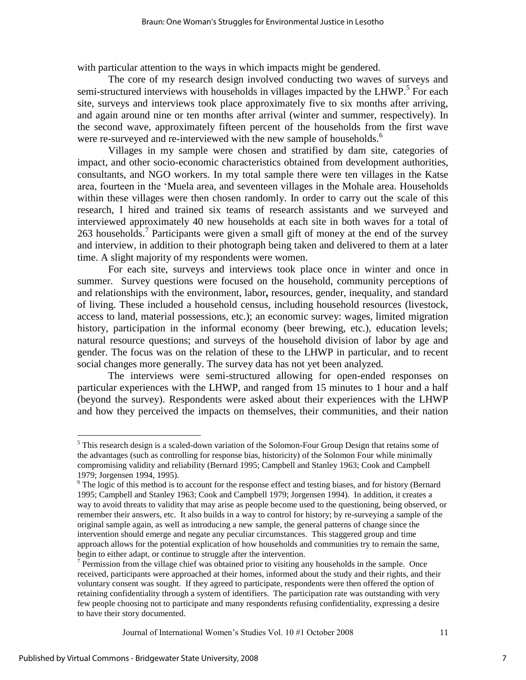with particular attention to the ways in which impacts might be gendered.

The core of my research design involved conducting two waves of surveys and semi-structured interviews with households in villages impacted by the LHWP.<sup>5</sup> For each site, surveys and interviews took place approximately five to six months after arriving, and again around nine or ten months after arrival (winter and summer, respectively). In the second wave, approximately fifteen percent of the households from the first wave were re-surveyed and re-interviewed with the new sample of households.<sup>6</sup>

Villages in my sample were chosen and stratified by dam site, categories of impact, and other socio-economic characteristics obtained from development authorities, consultants, and NGO workers. In my total sample there were ten villages in the Katse area, fourteen in the "Muela area, and seventeen villages in the Mohale area. Households within these villages were then chosen randomly. In order to carry out the scale of this research, I hired and trained six teams of research assistants and we surveyed and interviewed approximately 40 new households at each site in both waves for a total of 263 households.<sup>7</sup> Participants were given a small gift of money at the end of the survey and interview, in addition to their photograph being taken and delivered to them at a later time. A slight majority of my respondents were women.

For each site, surveys and interviews took place once in winter and once in summer. Survey questions were focused on the household, community perceptions of and relationships with the environment, labor**,** resources, gender, inequality, and standard of living. These included a household census, including household resources (livestock, access to land, material possessions, etc.); an economic survey: wages, limited migration history, participation in the informal economy (beer brewing, etc.), education levels; natural resource questions; and surveys of the household division of labor by age and gender. The focus was on the relation of these to the LHWP in particular, and to recent social changes more generally. The survey data has not yet been analyzed.

The interviews were semi-structured allowing for open-ended responses on particular experiences with the LHWP, and ranged from 15 minutes to 1 hour and a half (beyond the survey). Respondents were asked about their experiences with the LHWP and how they perceived the impacts on themselves, their communities, and their nation

Journal of International Women"s Studies Vol. 10 #1 October 2008 11

 $\overline{a}$ 

<sup>&</sup>lt;sup>5</sup> This research design is a scaled-down variation of the Solomon-Four Group Design that retains some of the advantages (such as controlling for response bias, historicity) of the Solomon Four while minimally compromising validity and reliability (Bernard 1995; Campbell and Stanley 1963; Cook and Campbell 1979; Jorgensen 1994, 1995).

<sup>&</sup>lt;sup>6</sup> The logic of this method is to account for the response effect and testing biases, and for history (Bernard 1995; Campbell and Stanley 1963; Cook and Campbell 1979; Jorgensen 1994). In addition, it creates a way to avoid threats to validity that may arise as people become used to the questioning, being observed, or remember their answers, etc. It also builds in a way to control for history; by re-surveying a sample of the original sample again, as well as introducing a new sample, the general patterns of change since the intervention should emerge and negate any peculiar circumstances. This staggered group and time approach allows for the potential explication of how households and communities try to remain the same, begin to either adapt, or continue to struggle after the intervention.

<sup>&</sup>lt;sup>7</sup> Permission from the village chief was obtained prior to visiting any households in the sample. Once received, participants were approached at their homes, informed about the study and their rights, and their voluntary consent was sought. If they agreed to participate, respondents were then offered the option of retaining confidentiality through a system of identifiers. The participation rate was outstanding with very few people choosing not to participate and many respondents refusing confidentiality, expressing a desire to have their story documented.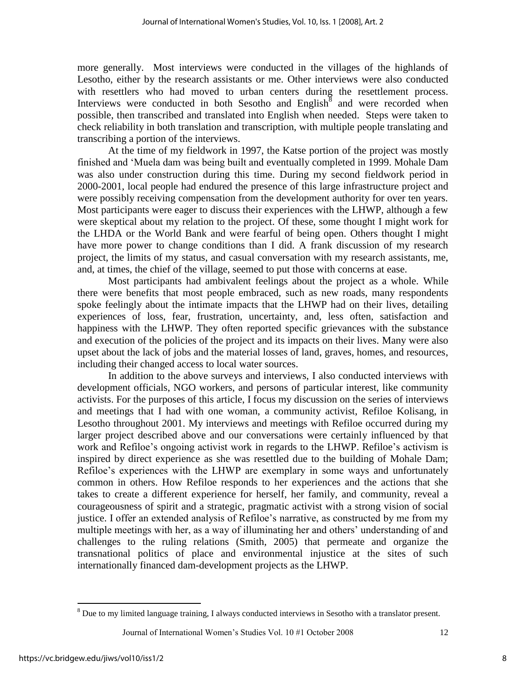more generally. Most interviews were conducted in the villages of the highlands of Lesotho, either by the research assistants or me. Other interviews were also conducted with resettlers who had moved to urban centers during the resettlement process. Interviews were conducted in both Sesotho and  $English^8$  and were recorded when possible, then transcribed and translated into English when needed. Steps were taken to check reliability in both translation and transcription, with multiple people translating and transcribing a portion of the interviews.

At the time of my fieldwork in 1997, the Katse portion of the project was mostly finished and "Muela dam was being built and eventually completed in 1999. Mohale Dam was also under construction during this time. During my second fieldwork period in 2000-2001, local people had endured the presence of this large infrastructure project and were possibly receiving compensation from the development authority for over ten years. Most participants were eager to discuss their experiences with the LHWP, although a few were skeptical about my relation to the project. Of these, some thought I might work for the LHDA or the World Bank and were fearful of being open. Others thought I might have more power to change conditions than I did. A frank discussion of my research project, the limits of my status, and casual conversation with my research assistants, me, and, at times, the chief of the village, seemed to put those with concerns at ease.

Most participants had ambivalent feelings about the project as a whole. While there were benefits that most people embraced, such as new roads, many respondents spoke feelingly about the intimate impacts that the LHWP had on their lives, detailing experiences of loss, fear, frustration, uncertainty, and, less often, satisfaction and happiness with the LHWP. They often reported specific grievances with the substance and execution of the policies of the project and its impacts on their lives. Many were also upset about the lack of jobs and the material losses of land, graves, homes, and resources, including their changed access to local water sources.

In addition to the above surveys and interviews, I also conducted interviews with development officials, NGO workers, and persons of particular interest, like community activists. For the purposes of this article, I focus my discussion on the series of interviews and meetings that I had with one woman, a community activist, Refiloe Kolisang, in Lesotho throughout 2001. My interviews and meetings with Refiloe occurred during my larger project described above and our conversations were certainly influenced by that work and Refiloe's ongoing activist work in regards to the LHWP. Refiloe's activism is inspired by direct experience as she was resettled due to the building of Mohale Dam; Refiloe's experiences with the LHWP are exemplary in some ways and unfortunately common in others. How Refiloe responds to her experiences and the actions that she takes to create a different experience for herself, her family, and community, reveal a courageousness of spirit and a strategic, pragmatic activist with a strong vision of social justice. I offer an extended analysis of Refiloe's narrative, as constructed by me from my multiple meetings with her, as a way of illuminating her and others' understanding of and challenges to the ruling relations (Smith, 2005) that permeate and organize the transnational politics of place and environmental injustice at the sites of such internationally financed dam-development projects as the LHWP.

 $\overline{a}$ 

 $8$  Due to my limited language training, I always conducted interviews in Sesotho with a translator present.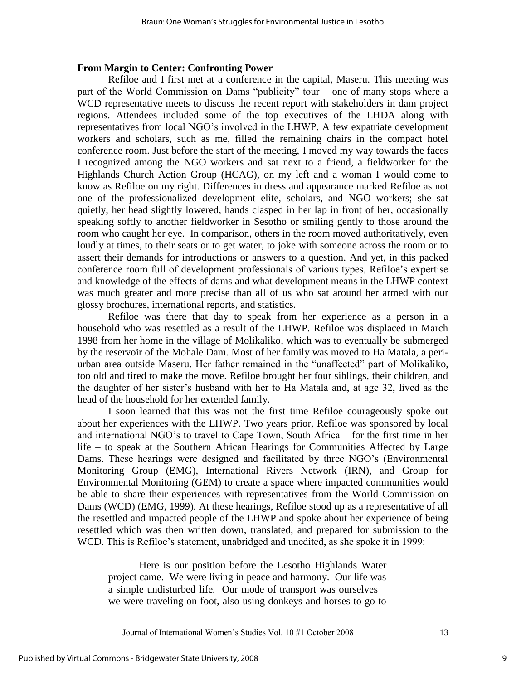#### **From Margin to Center: Confronting Power**

Refiloe and I first met at a conference in the capital, Maseru. This meeting was part of the World Commission on Dams "publicity" tour – one of many stops where a WCD representative meets to discuss the recent report with stakeholders in dam project regions. Attendees included some of the top executives of the LHDA along with representatives from local NGO"s involved in the LHWP. A few expatriate development workers and scholars, such as me, filled the remaining chairs in the compact hotel conference room. Just before the start of the meeting, I moved my way towards the faces I recognized among the NGO workers and sat next to a friend, a fieldworker for the Highlands Church Action Group (HCAG), on my left and a woman I would come to know as Refiloe on my right. Differences in dress and appearance marked Refiloe as not one of the professionalized development elite, scholars, and NGO workers; she sat quietly, her head slightly lowered, hands clasped in her lap in front of her, occasionally speaking softly to another fieldworker in Sesotho or smiling gently to those around the room who caught her eye. In comparison, others in the room moved authoritatively, even loudly at times, to their seats or to get water, to joke with someone across the room or to assert their demands for introductions or answers to a question. And yet, in this packed conference room full of development professionals of various types, Refiloe"s expertise and knowledge of the effects of dams and what development means in the LHWP context was much greater and more precise than all of us who sat around her armed with our glossy brochures, international reports, and statistics.

Refiloe was there that day to speak from her experience as a person in a household who was resettled as a result of the LHWP. Refiloe was displaced in March 1998 from her home in the village of Molikaliko, which was to eventually be submerged by the reservoir of the Mohale Dam. Most of her family was moved to Ha Matala, a periurban area outside Maseru. Her father remained in the "unaffected" part of Molikaliko, too old and tired to make the move. Refiloe brought her four siblings, their children, and the daughter of her sister"s husband with her to Ha Matala and, at age 32, lived as the head of the household for her extended family.

I soon learned that this was not the first time Refiloe courageously spoke out about her experiences with the LHWP. Two years prior, Refiloe was sponsored by local and international NGO"s to travel to Cape Town, South Africa – for the first time in her life – to speak at the Southern African Hearings for Communities Affected by Large Dams. These hearings were designed and facilitated by three NGO"s (Environmental Monitoring Group (EMG), International Rivers Network (IRN), and Group for Environmental Monitoring (GEM) to create a space where impacted communities would be able to share their experiences with representatives from the World Commission on Dams (WCD) (EMG, 1999). At these hearings, Refiloe stood up as a representative of all the resettled and impacted people of the LHWP and spoke about her experience of being resettled which was then written down, translated, and prepared for submission to the WCD. This is Refiloe"s statement, unabridged and unedited, as she spoke it in 1999:

Here is our position before the Lesotho Highlands Water project came. We were living in peace and harmony. Our life was a simple undisturbed life. Our mode of transport was ourselves – we were traveling on foot, also using donkeys and horses to go to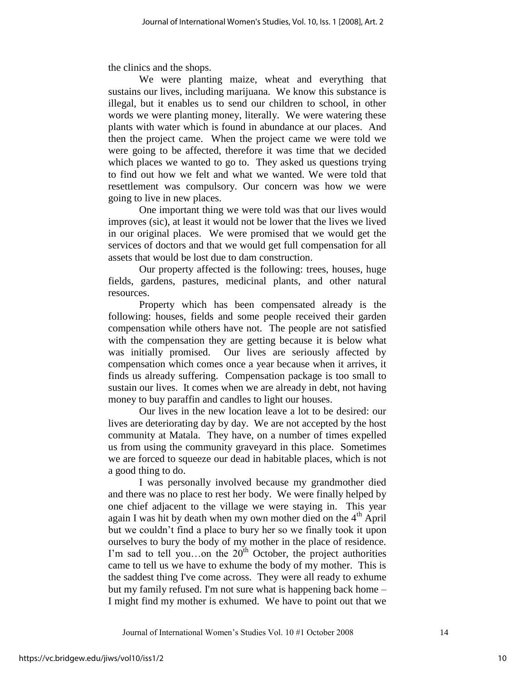the clinics and the shops.

We were planting maize, wheat and everything that sustains our lives, including marijuana. We know this substance is illegal, but it enables us to send our children to school, in other words we were planting money, literally. We were watering these plants with water which is found in abundance at our places. And then the project came. When the project came we were told we were going to be affected, therefore it was time that we decided which places we wanted to go to. They asked us questions trying to find out how we felt and what we wanted. We were told that resettlement was compulsory. Our concern was how we were going to live in new places.

One important thing we were told was that our lives would improves (sic), at least it would not be lower that the lives we lived in our original places. We were promised that we would get the services of doctors and that we would get full compensation for all assets that would be lost due to dam construction.

Our property affected is the following: trees, houses, huge fields, gardens, pastures, medicinal plants, and other natural resources.

Property which has been compensated already is the following: houses, fields and some people received their garden compensation while others have not. The people are not satisfied with the compensation they are getting because it is below what was initially promised. Our lives are seriously affected by compensation which comes once a year because when it arrives, it finds us already suffering. Compensation package is too small to sustain our lives. It comes when we are already in debt, not having money to buy paraffin and candles to light our houses.

Our lives in the new location leave a lot to be desired: our lives are deteriorating day by day. We are not accepted by the host community at Matala. They have, on a number of times expelled us from using the community graveyard in this place. Sometimes we are forced to squeeze our dead in habitable places, which is not a good thing to do.

I was personally involved because my grandmother died and there was no place to rest her body. We were finally helped by one chief adjacent to the village we were staying in. This year again I was hit by death when my own mother died on the  $4<sup>th</sup>$  April but we couldn"t find a place to bury her so we finally took it upon ourselves to bury the body of my mother in the place of residence. I'm sad to tell you...on the  $20<sup>th</sup>$  October, the project authorities came to tell us we have to exhume the body of my mother. This is the saddest thing I've come across. They were all ready to exhume but my family refused. I'm not sure what is happening back home – I might find my mother is exhumed. We have to point out that we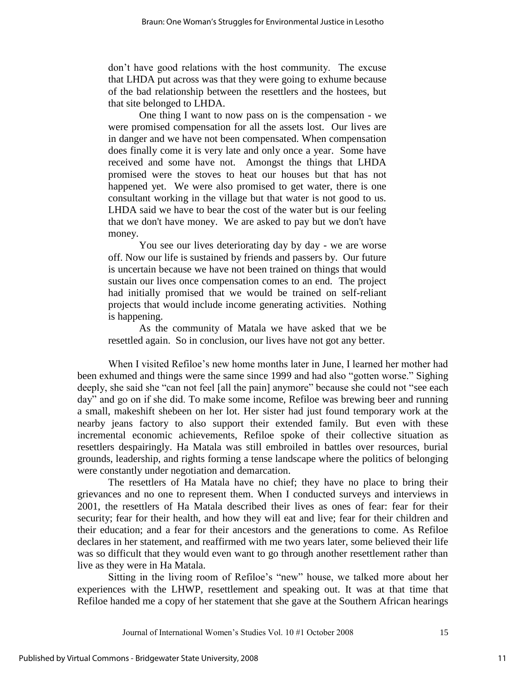don"t have good relations with the host community. The excuse that LHDA put across was that they were going to exhume because of the bad relationship between the resettlers and the hostees, but that site belonged to LHDA.

One thing I want to now pass on is the compensation - we were promised compensation for all the assets lost. Our lives are in danger and we have not been compensated. When compensation does finally come it is very late and only once a year. Some have received and some have not. Amongst the things that LHDA promised were the stoves to heat our houses but that has not happened yet. We were also promised to get water, there is one consultant working in the village but that water is not good to us. LHDA said we have to bear the cost of the water but is our feeling that we don't have money. We are asked to pay but we don't have money.

You see our lives deteriorating day by day - we are worse off. Now our life is sustained by friends and passers by. Our future is uncertain because we have not been trained on things that would sustain our lives once compensation comes to an end. The project had initially promised that we would be trained on self-reliant projects that would include income generating activities. Nothing is happening.

As the community of Matala we have asked that we be resettled again. So in conclusion, our lives have not got any better.

When I visited Refiloe's new home months later in June, I learned her mother had been exhumed and things were the same since 1999 and had also "gotten worse." Sighing deeply, she said she "can not feel [all the pain] anymore" because she could not "see each day" and go on if she did. To make some income, Refiloe was brewing beer and running a small, makeshift shebeen on her lot. Her sister had just found temporary work at the nearby jeans factory to also support their extended family. But even with these incremental economic achievements, Refiloe spoke of their collective situation as resettlers despairingly. Ha Matala was still embroiled in battles over resources, burial grounds, leadership, and rights forming a tense landscape where the politics of belonging were constantly under negotiation and demarcation.

The resettlers of Ha Matala have no chief; they have no place to bring their grievances and no one to represent them. When I conducted surveys and interviews in 2001, the resettlers of Ha Matala described their lives as ones of fear: fear for their security; fear for their health, and how they will eat and live; fear for their children and their education; and a fear for their ancestors and the generations to come. As Refiloe declares in her statement, and reaffirmed with me two years later, some believed their life was so difficult that they would even want to go through another resettlement rather than live as they were in Ha Matala.

Sitting in the living room of Refiloe"s "new" house, we talked more about her experiences with the LHWP, resettlement and speaking out. It was at that time that Refiloe handed me a copy of her statement that she gave at the Southern African hearings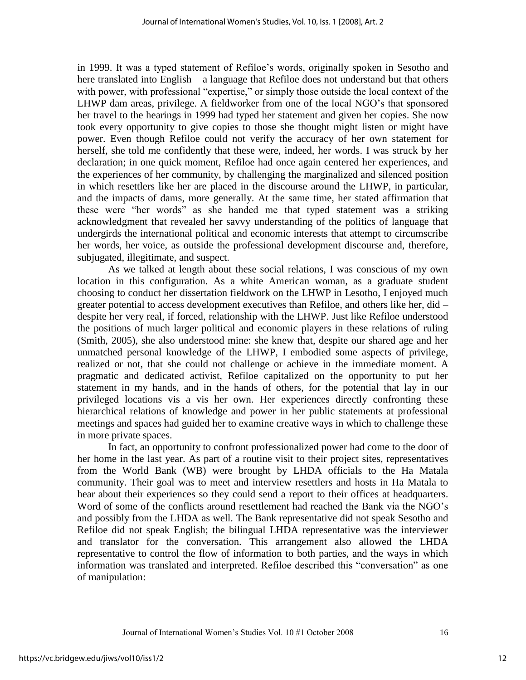in 1999. It was a typed statement of Refiloe"s words, originally spoken in Sesotho and here translated into English – a language that Refiloe does not understand but that others with power, with professional "expertise," or simply those outside the local context of the LHWP dam areas, privilege. A fieldworker from one of the local NGO"s that sponsored her travel to the hearings in 1999 had typed her statement and given her copies. She now took every opportunity to give copies to those she thought might listen or might have power. Even though Refiloe could not verify the accuracy of her own statement for herself, she told me confidently that these were, indeed, her words. I was struck by her declaration; in one quick moment, Refiloe had once again centered her experiences, and the experiences of her community, by challenging the marginalized and silenced position in which resettlers like her are placed in the discourse around the LHWP, in particular, and the impacts of dams, more generally. At the same time, her stated affirmation that these were "her words" as she handed me that typed statement was a striking acknowledgment that revealed her savvy understanding of the politics of language that undergirds the international political and economic interests that attempt to circumscribe her words, her voice, as outside the professional development discourse and, therefore, subjugated, illegitimate, and suspect.

As we talked at length about these social relations, I was conscious of my own location in this configuration. As a white American woman, as a graduate student choosing to conduct her dissertation fieldwork on the LHWP in Lesotho, I enjoyed much greater potential to access development executives than Refiloe, and others like her, did – despite her very real, if forced, relationship with the LHWP. Just like Refiloe understood the positions of much larger political and economic players in these relations of ruling (Smith, 2005), she also understood mine: she knew that, despite our shared age and her unmatched personal knowledge of the LHWP, I embodied some aspects of privilege, realized or not, that she could not challenge or achieve in the immediate moment. A pragmatic and dedicated activist, Refiloe capitalized on the opportunity to put her statement in my hands, and in the hands of others, for the potential that lay in our privileged locations vis a vis her own. Her experiences directly confronting these hierarchical relations of knowledge and power in her public statements at professional meetings and spaces had guided her to examine creative ways in which to challenge these in more private spaces.

In fact, an opportunity to confront professionalized power had come to the door of her home in the last year. As part of a routine visit to their project sites, representatives from the World Bank (WB) were brought by LHDA officials to the Ha Matala community. Their goal was to meet and interview resettlers and hosts in Ha Matala to hear about their experiences so they could send a report to their offices at headquarters. Word of some of the conflicts around resettlement had reached the Bank via the NGO's and possibly from the LHDA as well. The Bank representative did not speak Sesotho and Refiloe did not speak English; the bilingual LHDA representative was the interviewer and translator for the conversation. This arrangement also allowed the LHDA representative to control the flow of information to both parties, and the ways in which information was translated and interpreted. Refiloe described this "conversation" as one of manipulation: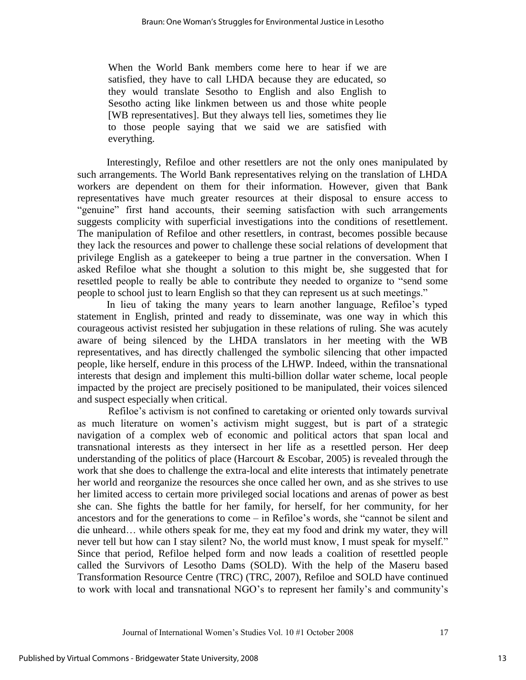When the World Bank members come here to hear if we are satisfied, they have to call LHDA because they are educated, so they would translate Sesotho to English and also English to Sesotho acting like linkmen between us and those white people [WB representatives]. But they always tell lies, sometimes they lie to those people saying that we said we are satisfied with everything.

 Interestingly, Refiloe and other resettlers are not the only ones manipulated by such arrangements. The World Bank representatives relying on the translation of LHDA workers are dependent on them for their information. However, given that Bank representatives have much greater resources at their disposal to ensure access to "genuine" first hand accounts, their seeming satisfaction with such arrangements suggests complicity with superficial investigations into the conditions of resettlement. The manipulation of Refiloe and other resettlers, in contrast, becomes possible because they lack the resources and power to challenge these social relations of development that privilege English as a gatekeeper to being a true partner in the conversation. When I asked Refiloe what she thought a solution to this might be, she suggested that for resettled people to really be able to contribute they needed to organize to "send some people to school just to learn English so that they can represent us at such meetings."

In lieu of taking the many years to learn another language, Refiloe"s typed statement in English, printed and ready to disseminate, was one way in which this courageous activist resisted her subjugation in these relations of ruling. She was acutely aware of being silenced by the LHDA translators in her meeting with the WB representatives, and has directly challenged the symbolic silencing that other impacted people, like herself, endure in this process of the LHWP. Indeed, within the transnational interests that design and implement this multi-billion dollar water scheme, local people impacted by the project are precisely positioned to be manipulated, their voices silenced and suspect especially when critical.

Refiloe's activism is not confined to caretaking or oriented only towards survival as much literature on women"s activism might suggest, but is part of a strategic navigation of a complex web of economic and political actors that span local and transnational interests as they intersect in her life as a resettled person. Her deep understanding of the politics of place (Harcourt  $& E<sub>s</sub>$  Escobar, 2005) is revealed through the work that she does to challenge the extra-local and elite interests that intimately penetrate her world and reorganize the resources she once called her own, and as she strives to use her limited access to certain more privileged social locations and arenas of power as best she can. She fights the battle for her family, for herself, for her community, for her ancestors and for the generations to come – in Refiloe"s words, she "cannot be silent and die unheard… while others speak for me, they eat my food and drink my water, they will never tell but how can I stay silent? No, the world must know, I must speak for myself." Since that period, Refiloe helped form and now leads a coalition of resettled people called the Survivors of Lesotho Dams (SOLD). With the help of the Maseru based Transformation Resource Centre (TRC) (TRC, 2007), Refiloe and SOLD have continued to work with local and transnational NGO"s to represent her family"s and community"s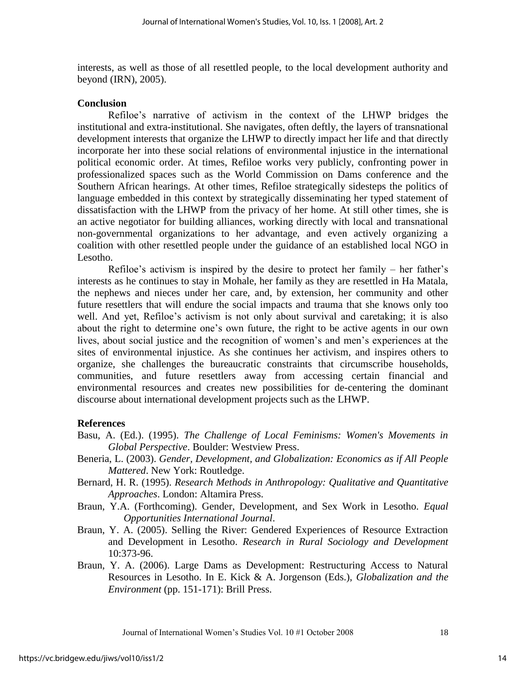interests, as well as those of all resettled people, to the local development authority and beyond (IRN), 2005).

#### **Conclusion**

Refiloe"s narrative of activism in the context of the LHWP bridges the institutional and extra-institutional. She navigates, often deftly, the layers of transnational development interests that organize the LHWP to directly impact her life and that directly incorporate her into these social relations of environmental injustice in the international political economic order. At times, Refiloe works very publicly, confronting power in professionalized spaces such as the World Commission on Dams conference and the Southern African hearings. At other times, Refiloe strategically sidesteps the politics of language embedded in this context by strategically disseminating her typed statement of dissatisfaction with the LHWP from the privacy of her home. At still other times, she is an active negotiator for building alliances, working directly with local and transnational non-governmental organizations to her advantage, and even actively organizing a coalition with other resettled people under the guidance of an established local NGO in Lesotho.

Refiloe's activism is inspired by the desire to protect her family – her father's interests as he continues to stay in Mohale, her family as they are resettled in Ha Matala, the nephews and nieces under her care, and, by extension, her community and other future resettlers that will endure the social impacts and trauma that she knows only too well. And yet, Refiloe's activism is not only about survival and caretaking; it is also about the right to determine one"s own future, the right to be active agents in our own lives, about social justice and the recognition of women"s and men"s experiences at the sites of environmental injustice. As she continues her activism, and inspires others to organize, she challenges the bureaucratic constraints that circumscribe households, communities, and future resettlers away from accessing certain financial and environmental resources and creates new possibilities for de-centering the dominant discourse about international development projects such as the LHWP.

#### **References**

- Basu, A. (Ed.). (1995). *The Challenge of Local Feminisms: Women's Movements in Global Perspective*. Boulder: Westview Press.
- Beneria, L. (2003). *Gender, Development, and Globalization: Economics as if All People Mattered*. New York: Routledge.
- Bernard, H. R. (1995). *Research Methods in Anthropology: Qualitative and Quantitative Approaches*. London: Altamira Press.
- Braun, Y.A. (Forthcoming). Gender, Development, and Sex Work in Lesotho. *Equal Opportunities International Journal*.
- Braun, Y. A. (2005). Selling the River: Gendered Experiences of Resource Extraction and Development in Lesotho. *Research in Rural Sociology and Development*  10:373-96.
- Braun, Y. A. (2006). Large Dams as Development: Restructuring Access to Natural Resources in Lesotho. In E. Kick & A. Jorgenson (Eds.), *Globalization and the Environment* (pp. 151-171): Brill Press.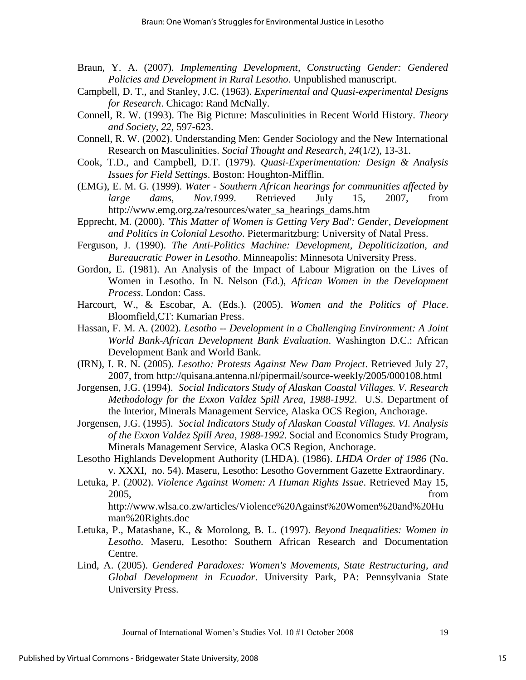- Braun, Y. A. (2007). *Implementing Development, Constructing Gender: Gendered Policies and Development in Rural Lesotho*. Unpublished manuscript.
- Campbell, D. T., and Stanley, J.C. (1963). *Experimental and Quasi-experimental Designs for Research*. Chicago: Rand McNally.
- Connell, R. W. (1993). The Big Picture: Masculinities in Recent World History. *Theory and Society, 22*, 597-623.
- Connell, R. W. (2002). Understanding Men: Gender Sociology and the New International Research on Masculinities. *Social Thought and Research, 24*(1/2), 13-31.
- Cook, T.D., and Campbell, D.T. (1979). *Quasi-Experimentation: Design & Analysis Issues for Field Settings*. Boston: Houghton-Mifflin.
- (EMG), E. M. G. (1999). *Water Southern African hearings for communities affected by large dams, Nov.1999*. Retrieved July 15, 2007, from http://www.emg.org.za/resources/water\_sa\_hearings\_dams.htm
- Epprecht, M. (2000). *'This Matter of Women is Getting Very Bad': Gender, Development and Politics in Colonial Lesotho*. Pietermaritzburg: University of Natal Press.
- Ferguson, J. (1990). *The Anti-Politics Machine: Development, Depoliticization, and Bureaucratic Power in Lesotho*. Minneapolis: Minnesota University Press.
- Gordon, E. (1981). An Analysis of the Impact of Labour Migration on the Lives of Women in Lesotho. In N. Nelson (Ed.), *African Women in the Development Process*. London: Cass.
- Harcourt, W., & Escobar, A. (Eds.). (2005). *Women and the Politics of Place*. Bloomfield,CT: Kumarian Press.
- Hassan, F. M. A. (2002). *Lesotho -- Development in a Challenging Environment: A Joint World Bank-African Development Bank Evaluation*. Washington D.C.: African Development Bank and World Bank.
- (IRN), I. R. N. (2005). *Lesotho: Protests Against New Dam Project*. Retrieved July 27, 2007, from http://quisana.antenna.nl/pipermail/source-weekly/2005/000108.html
- Jorgensen, J.G. (1994). *Social Indicators Study of Alaskan Coastal Villages. V. Research Methodology for the Exxon Valdez Spill Area, 1988-1992*. U.S. Department of the Interior, Minerals Management Service, Alaska OCS Region, Anchorage.
- Jorgensen, J.G. (1995). *Social Indicators Study of Alaskan Coastal Villages. VI. Analysis of the Exxon Valdez Spill Area, 1988-1992*. Social and Economics Study Program, Minerals Management Service, Alaska OCS Region, Anchorage.
- Lesotho Highlands Development Authority (LHDA). (1986). *LHDA Order of 1986* (No. v. XXXI, no. 54). Maseru, Lesotho: Lesotho Government Gazette Extraordinary.
- Letuka, P. (2002). *Violence Against Women: A Human Rights Issue*. Retrieved May 15, 2005, from http://www.wlsa.co.zw/articles/Violence%20Against%20Women%20and%20Hu

man%20Rights.doc

- Letuka, P., Matashane, K., & Morolong, B. L. (1997). *Beyond Inequalities: Women in Lesotho*. Maseru, Lesotho: Southern African Research and Documentation Centre.
- Lind, A. (2005). *Gendered Paradoxes: Women's Movements, State Restructuring, and Global Development in Ecuador*. University Park, PA: Pennsylvania State University Press.